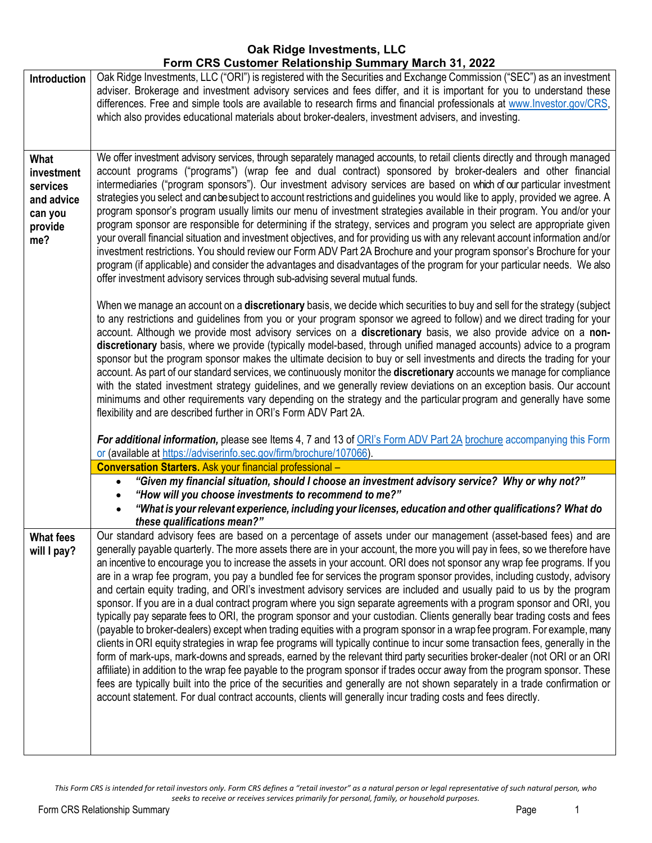# **Oak Ridge Investments, LLC Form CRS Customer Relationship Summary March 31, 2022**

| Oak Ridge Investments, LLC ("ORI") is registered with the Securities and Exchange Commission ("SEC") as an investment<br>adviser. Brokerage and investment advisory services and fees differ, and it is important for you to understand these<br>differences. Free and simple tools are available to research firms and financial professionals at www.lnvestor.gov/CRS,<br>which also provides educational materials about broker-dealers, investment advisers, and investing.                                                                                                                                                                                                                                                                                                                                                                                                                                                                                                                                                                                                                                                                                                                                                                                                                                                                                                                                                                                                                                                                                                                                                                            |
|------------------------------------------------------------------------------------------------------------------------------------------------------------------------------------------------------------------------------------------------------------------------------------------------------------------------------------------------------------------------------------------------------------------------------------------------------------------------------------------------------------------------------------------------------------------------------------------------------------------------------------------------------------------------------------------------------------------------------------------------------------------------------------------------------------------------------------------------------------------------------------------------------------------------------------------------------------------------------------------------------------------------------------------------------------------------------------------------------------------------------------------------------------------------------------------------------------------------------------------------------------------------------------------------------------------------------------------------------------------------------------------------------------------------------------------------------------------------------------------------------------------------------------------------------------------------------------------------------------------------------------------------------------|
| We offer investment advisory services, through separately managed accounts, to retail clients directly and through managed<br>account programs ("programs") (wrap fee and dual contract) sponsored by broker-dealers and other financial<br>intermediaries ("program sponsors"). Our investment advisory services are based on which of our particular investment<br>strategies you select and can be subject to account restrictions and guidelines you would like to apply, provided we agree. A<br>program sponsor's program usually limits our menu of investment strategies available in their program. You and/or your<br>program sponsor are responsible for determining if the strategy, services and program you select are appropriate given<br>your overall financial situation and investment objectives, and for providing us with any relevant account information and/or<br>investment restrictions. You should review our Form ADV Part 2A Brochure and your program sponsor's Brochure for your<br>program (if applicable) and consider the advantages and disadvantages of the program for your particular needs. We also<br>offer investment advisory services through sub-advising several mutual funds.                                                                                                                                                                                                                                                                                                                                                                                                                               |
| When we manage an account on a <b>discretionary</b> basis, we decide which securities to buy and sell for the strategy (subject<br>to any restrictions and guidelines from you or your program sponsor we agreed to follow) and we direct trading for your<br>account. Although we provide most advisory services on a discretionary basis, we also provide advice on a non-<br>discretionary basis, where we provide (typically model-based, through unified managed accounts) advice to a program<br>sponsor but the program sponsor makes the ultimate decision to buy or sell investments and directs the trading for your<br>account. As part of our standard services, we continuously monitor the discretionary accounts we manage for compliance<br>with the stated investment strategy guidelines, and we generally review deviations on an exception basis. Our account<br>minimums and other requirements vary depending on the strategy and the particular program and generally have some<br>flexibility and are described further in ORI's Form ADV Part 2A.<br>For additional information, please see Items 4, 7 and 13 of ORI's Form ADV Part 2A brochure accompanying this Form                                                                                                                                                                                                                                                                                                                                                                                                                                                           |
| or (available at https://adviserinfo.sec.gov/firm/brochure/107066).<br><b>Conversation Starters.</b> Ask your financial professional -                                                                                                                                                                                                                                                                                                                                                                                                                                                                                                                                                                                                                                                                                                                                                                                                                                                                                                                                                                                                                                                                                                                                                                                                                                                                                                                                                                                                                                                                                                                     |
| "Given my financial situation, should I choose an investment advisory service? Why or why not?"<br>$\bullet$                                                                                                                                                                                                                                                                                                                                                                                                                                                                                                                                                                                                                                                                                                                                                                                                                                                                                                                                                                                                                                                                                                                                                                                                                                                                                                                                                                                                                                                                                                                                               |
| "How will you choose investments to recommend to me?"                                                                                                                                                                                                                                                                                                                                                                                                                                                                                                                                                                                                                                                                                                                                                                                                                                                                                                                                                                                                                                                                                                                                                                                                                                                                                                                                                                                                                                                                                                                                                                                                      |
| "What is your relevant experience, including your licenses, education and other qualifications? What do<br>these qualifications mean?"                                                                                                                                                                                                                                                                                                                                                                                                                                                                                                                                                                                                                                                                                                                                                                                                                                                                                                                                                                                                                                                                                                                                                                                                                                                                                                                                                                                                                                                                                                                     |
| Our standard advisory fees are based on a percentage of assets under our management (asset-based fees) and are<br>generally payable quarterly. The more assets there are in your account, the more you will pay in fees, so we therefore have<br>an incentive to encourage you to increase the assets in your account. ORI does not sponsor any wrap fee programs. If you<br>are in a wrap fee program, you pay a bundled fee for services the program sponsor provides, including custody, advisory<br>and certain equity trading, and ORI's investment advisory services are included and usually paid to us by the program<br>sponsor. If you are in a dual contract program where you sign separate agreements with a program sponsor and ORI, you<br>typically pay separate fees to ORI, the program sponsor and your custodian. Clients generally bear trading costs and fees<br>(payable to broker-dealers) except when trading equities with a program sponsor in a wrap fee program. For example, many<br>clients in ORI equity strategies in wrap fee programs will typically continue to incur some transaction fees, generally in the<br>form of mark-ups, mark-downs and spreads, earned by the relevant third party securities broker-dealer (not ORI or an ORI<br>affiliate) in addition to the wrap fee payable to the program sponsor if trades occur away from the program sponsor. These<br>fees are typically built into the price of the securities and generally are not shown separately in a trade confirmation or<br>account statement. For dual contract accounts, clients will generally incur trading costs and fees directly. |
|                                                                                                                                                                                                                                                                                                                                                                                                                                                                                                                                                                                                                                                                                                                                                                                                                                                                                                                                                                                                                                                                                                                                                                                                                                                                                                                                                                                                                                                                                                                                                                                                                                                            |

This Form CRS is intended for retail investors only. Form CRS defines a "retail investor" as a natural person or legal representative of such natural person, who *seeks to receive or receives services primarily for personal, family, or household purposes.*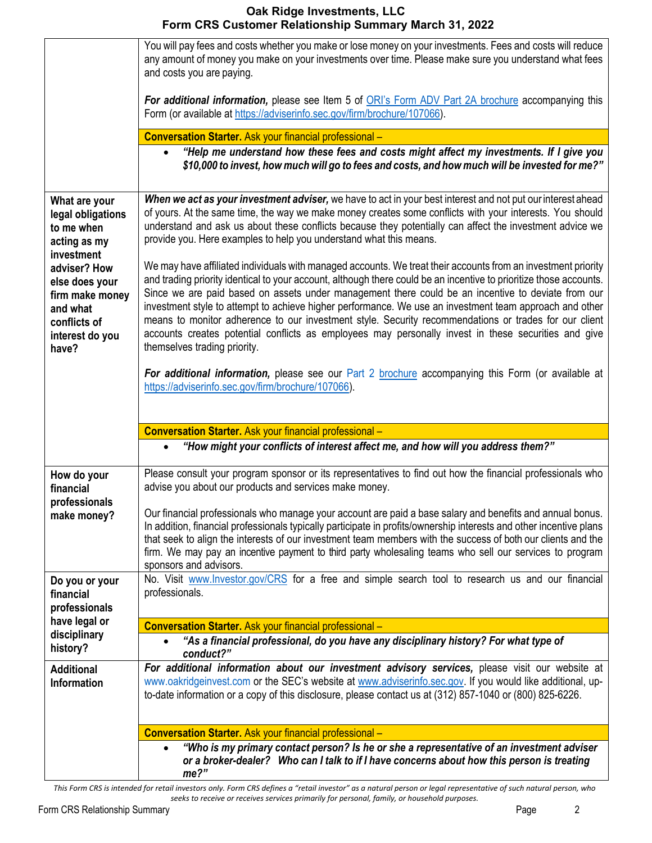## **Oak Ridge Investments, LLC Form CRS Customer Relationship Summary March 31, 2022**

|                                                                                                           | You will pay fees and costs whether you make or lose money on your investments. Fees and costs will reduce<br>any amount of money you make on your investments over time. Please make sure you understand what fees<br>and costs you are paying.                                                                                                                                                                                                                                                                                                                                                                                                                                                      |
|-----------------------------------------------------------------------------------------------------------|-------------------------------------------------------------------------------------------------------------------------------------------------------------------------------------------------------------------------------------------------------------------------------------------------------------------------------------------------------------------------------------------------------------------------------------------------------------------------------------------------------------------------------------------------------------------------------------------------------------------------------------------------------------------------------------------------------|
|                                                                                                           | For additional information, please see Item 5 of ORI's Form ADV Part 2A brochure accompanying this<br>Form (or available at https://adviserinfo.sec.gov/firm/brochure/107066).                                                                                                                                                                                                                                                                                                                                                                                                                                                                                                                        |
|                                                                                                           | <b>Conversation Starter.</b> Ask your financial professional -                                                                                                                                                                                                                                                                                                                                                                                                                                                                                                                                                                                                                                        |
|                                                                                                           | "Help me understand how these fees and costs might affect my investments. If I give you<br>\$10,000 to invest, how much will go to fees and costs, and how much will be invested for me?"                                                                                                                                                                                                                                                                                                                                                                                                                                                                                                             |
| What are your<br>legal obligations<br>to me when<br>acting as my<br>investment                            | When we act as your investment adviser, we have to act in your best interest and not put our interest ahead<br>of yours. At the same time, the way we make money creates some conflicts with your interests. You should<br>understand and ask us about these conflicts because they potentially can affect the investment advice we<br>provide you. Here examples to help you understand what this means.                                                                                                                                                                                                                                                                                             |
| adviser? How<br>else does your<br>firm make money<br>and what<br>conflicts of<br>interest do you<br>have? | We may have affiliated individuals with managed accounts. We treat their accounts from an investment priority<br>and trading priority identical to your account, although there could be an incentive to prioritize those accounts.<br>Since we are paid based on assets under management there could be an incentive to deviate from our<br>investment style to attempt to achieve higher performance. We use an investment team approach and other<br>means to monitor adherence to our investment style. Security recommendations or trades for our client<br>accounts creates potential conflicts as employees may personally invest in these securities and give<br>themselves trading priority. |
|                                                                                                           | For additional information, please see our Part 2 brochure accompanying this Form (or available at<br>https://adviserinfo.sec.gov/firm/brochure/107066).                                                                                                                                                                                                                                                                                                                                                                                                                                                                                                                                              |
|                                                                                                           | <b>Conversation Starter.</b> Ask your financial professional -                                                                                                                                                                                                                                                                                                                                                                                                                                                                                                                                                                                                                                        |
|                                                                                                           | "How might your conflicts of interest affect me, and how will you address them?"                                                                                                                                                                                                                                                                                                                                                                                                                                                                                                                                                                                                                      |
| How do your<br>financial<br>professionals                                                                 | Please consult your program sponsor or its representatives to find out how the financial professionals who<br>advise you about our products and services make money.                                                                                                                                                                                                                                                                                                                                                                                                                                                                                                                                  |
| make money?                                                                                               | Our financial professionals who manage your account are paid a base salary and benefits and annual bonus.<br>In addition, financial professionals typically participate in profits/ownership interests and other incentive plans<br>that seek to align the interests of our investment team members with the success of both our clients and the<br>firm. We may pay an incentive payment to third party wholesaling teams who sell our services to program<br>sponsors and advisors.                                                                                                                                                                                                                 |
| Do you or your<br>financial<br>professionals                                                              | No. Visit www.Investor.gov/CRS for a free and simple search tool to research us and our financial<br>professionals.                                                                                                                                                                                                                                                                                                                                                                                                                                                                                                                                                                                   |
| have legal or                                                                                             | <b>Conversation Starter.</b> Ask your financial professional -                                                                                                                                                                                                                                                                                                                                                                                                                                                                                                                                                                                                                                        |
| disciplinary<br>history?                                                                                  | "As a financial professional, do you have any disciplinary history? For what type of<br>conduct?"                                                                                                                                                                                                                                                                                                                                                                                                                                                                                                                                                                                                     |
| <b>Additional</b><br><b>Information</b>                                                                   | For additional information about our investment advisory services, please visit our website at<br>www.oakridgeinvest.com or the SEC's website at www.adviserinfo.sec.gov. If you would like additional, up-<br>to-date information or a copy of this disclosure, please contact us at (312) 857-1040 or (800) 825-6226.                                                                                                                                                                                                                                                                                                                                                                               |
|                                                                                                           | <b>Conversation Starter.</b> Ask your financial professional -                                                                                                                                                                                                                                                                                                                                                                                                                                                                                                                                                                                                                                        |
|                                                                                                           | "Who is my primary contact person? Is he or she a representative of an investment adviser<br>or a broker-dealer? Who can I talk to if I have concerns about how this person is treating<br>me?"                                                                                                                                                                                                                                                                                                                                                                                                                                                                                                       |

This Form CRS is intended for retail investors only. Form CRS defines a "retail investor" as a natural person or legal representative of such natural person, who *seeks to receive or receives services primarily for personal, family, or household purposes.*